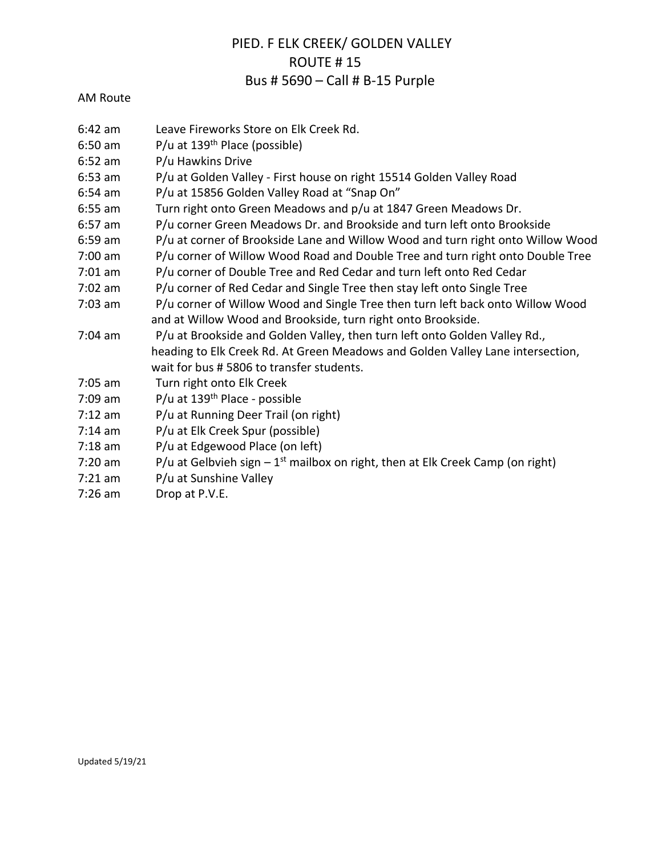## PIED. F ELK CREEK/ GOLDEN VALLEY ROUTE # 15 Bus # 5690 – Call # B-15 Purple

## AM Route

- 6:42 am Leave Fireworks Store on Elk Creek Rd.
- 6:50 am P/u at 139th Place (possible)
- 6:52 am P/u Hawkins Drive
- 6:53 am P/u at Golden Valley First house on right 15514 Golden Valley Road
- 6:54 am P/u at 15856 Golden Valley Road at "Snap On"
- 6:55 am Turn right onto Green Meadows and p/u at 1847 Green Meadows Dr.
- 6:57 am P/u corner Green Meadows Dr. and Brookside and turn left onto Brookside
- 6:59 am P/u at corner of Brookside Lane and Willow Wood and turn right onto Willow Wood
- 7:00 am P/u corner of Willow Wood Road and Double Tree and turn right onto Double Tree
- 7:01 am P/u corner of Double Tree and Red Cedar and turn left onto Red Cedar
- 7:02 am P/u corner of Red Cedar and Single Tree then stay left onto Single Tree
- 7:03 am P/u corner of Willow Wood and Single Tree then turn left back onto Willow Wood and at Willow Wood and Brookside, turn right onto Brookside.
- 7:04 am P/u at Brookside and Golden Valley, then turn left onto Golden Valley Rd., heading to Elk Creek Rd. At Green Meadows and Golden Valley Lane intersection, wait for bus # 5806 to transfer students.
- 7:05 am Turn right onto Elk Creek
- 7:09 am P/u at 139th Place possible
- 7:12 am P/u at Running Deer Trail (on right)
- 7:14 am P/u at Elk Creek Spur (possible)
- 7:18 am P/u at Edgewood Place (on left)
- 7:20 am  $P/u$  at Gelbvieh sign  $-1^{st}$  mailbox on right, then at Elk Creek Camp (on right)
- 7:21 am P/u at Sunshine Valley
- 7:26 am Drop at P.V.E.